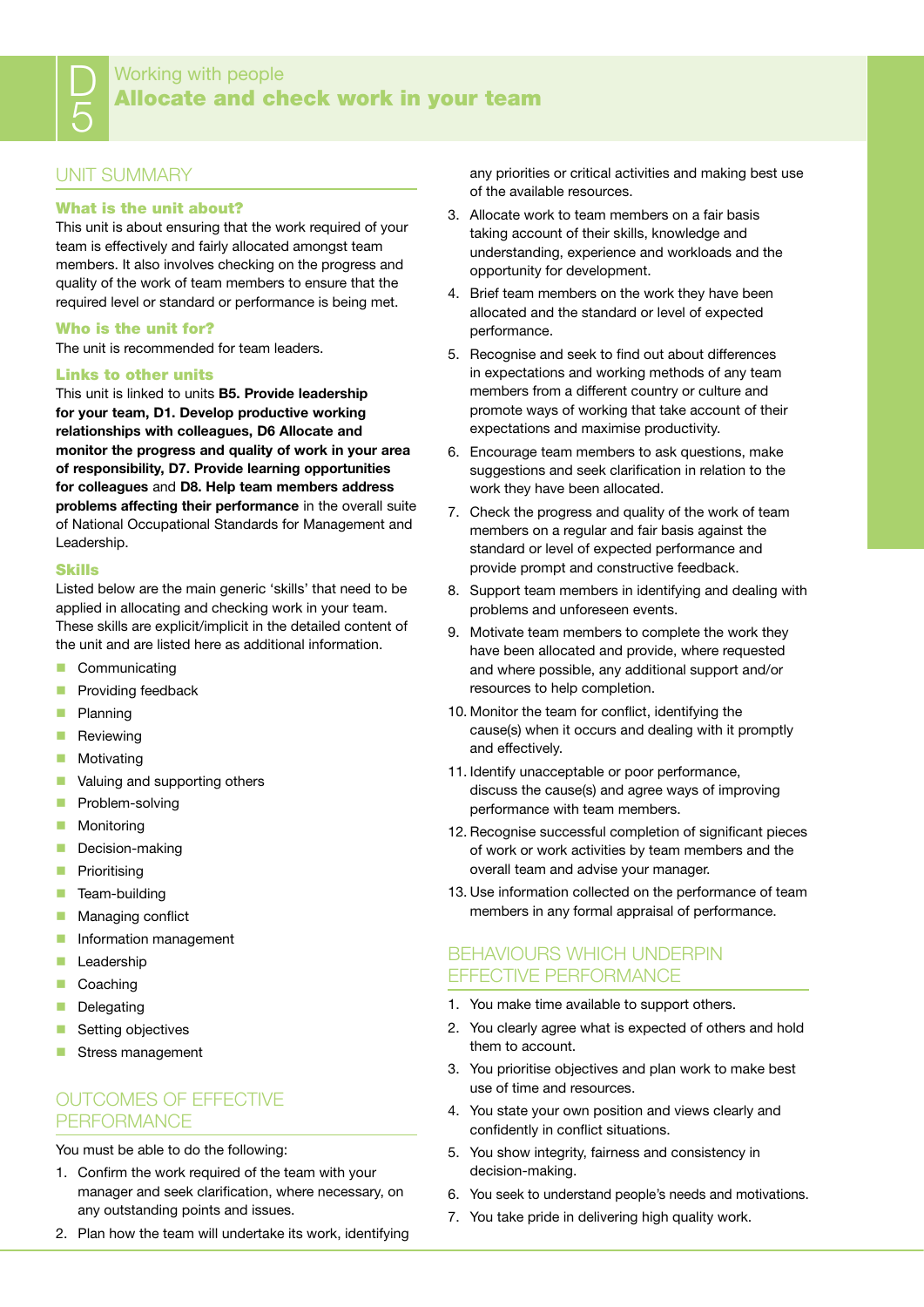## Working with people Allocate and check work in your team

## UNIT SUMMARY

D

5

## What is the unit about?

This unit is about ensuring that the work required of your team is effectively and fairly allocated amongst team members. It also involves checking on the progress and quality of the work of team members to ensure that the required level or standard or performance is being met.

#### Who is the unit for?

The unit is recommended for team leaders.

#### Links to other units

This unit is linked to units **B5. Provide leadership for your team, D1. Develop productive working relationships with colleagues, D6 Allocate and monitor the progress and quality of work in your area of responsibility, D7. Provide learning opportunities for colleagues** and **D8. Help team members address problems affecting their performance** in the overall suite of National Occupational Standards for Management and Leadership.

#### Skills

Listed below are the main generic 'skills' that need to be applied in allocating and checking work in your team. These skills are explicit/implicit in the detailed content of the unit and are listed here as additional information.

- Communicating
- **Providing feedback**
- **Planning**
- **Reviewing**
- **Motivating**
- **Valuing and supporting others**
- **Problem-solving**
- **Monitoring**
- Decision-making
- **Prioritising**
- $\blacksquare$  Team-building
- **Managing conflict**
- **Information management**
- **Leadership**
- Coaching
- Delegating
- Setting objectives
- Stress management

## OUTCOMES OF FFFECTIVE **PERFORMANCE**

You must be able to do the following:

- 1. Confirm the work required of the team with your manager and seek clarification, where necessary, on any outstanding points and issues.
- 2. Plan how the team will undertake its work, identifying

any priorities or critical activities and making best use of the available resources.

- 3. Allocate work to team members on a fair basis taking account of their skills, knowledge and understanding, experience and workloads and the opportunity for development.
- 4. Brief team members on the work they have been allocated and the standard or level of expected performance.
- 5. Recognise and seek to find out about differences in expectations and working methods of any team members from a different country or culture and promote ways of working that take account of their expectations and maximise productivity.
- 6. Encourage team members to ask questions, make suggestions and seek clarification in relation to the work they have been allocated.
- 7. Check the progress and quality of the work of team members on a regular and fair basis against the standard or level of expected performance and provide prompt and constructive feedback.
- 8. Support team members in identifying and dealing with problems and unforeseen events.
- 9. Motivate team members to complete the work they have been allocated and provide, where requested and where possible, any additional support and/or resources to help completion.
- 10. Monitor the team for conflict, identifying the cause(s) when it occurs and dealing with it promptly and effectively.
- 11. Identify unacceptable or poor performance, discuss the cause(s) and agree ways of improving performance with team members.
- 12. Recognise successful completion of significant pieces of work or work activities by team members and the overall team and advise your manager.
- 13. Use information collected on the performance of team members in any formal appraisal of performance.

## BEHAVIOURS WHICH UNDERPIN effective performance

- 1. You make time available to support others.
- 2. You clearly agree what is expected of others and hold them to account.
- 3. You prioritise objectives and plan work to make best use of time and resources.
- 4. You state your own position and views clearly and confidently in conflict situations.
- 5. You show integrity, fairness and consistency in decision-making.
- 6. You seek to understand people's needs and motivations.
- 7. You take pride in delivering high quality work.